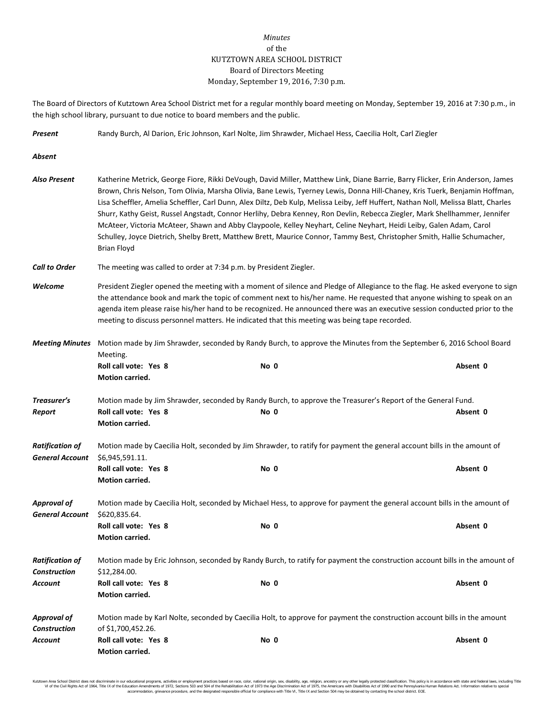## *Minutes* of the KUTZTOWN AREA SCHOOL DISTRICT Board of Directors Meeting Monday, September 19, 2016, 7:30 p.m.

The Board of Directors of Kutztown Area School District met for a regular monthly board meeting on Monday, September 19, 2016 at 7:30 p.m., in the high school library, pursuant to due notice to board members and the public.

*Present* Randy Burch, Al Darion, Eric Johnson, Karl Nolte, Jim Shrawder, Michael Hess, Caecilia Holt, Carl Ziegler

*Absent Also Present* Katherine Metrick, George Fiore, Rikki DeVough, David Miller, Matthew Link, Diane Barrie, Barry Flicker, Erin Anderson, James Brown, Chris Nelson, Tom Olivia, Marsha Olivia, Bane Lewis, Tyerney Lewis, Donna Hill-Chaney, Kris Tuerk, Benjamin Hoffman, Lisa Scheffler, Amelia Scheffler, Carl Dunn, Alex Diltz, Deb Kulp, Melissa Leiby, Jeff Huffert, Nathan Noll, Melissa Blatt, Charles Shurr, Kathy Geist, Russel Angstadt, Connor Herlihy, Debra Kenney, Ron Devlin, Rebecca Ziegler, Mark Shellhammer, Jennifer McAteer, Victoria McAteer, Shawn and Abby Claypoole, Kelley Neyhart, Celine Neyhart, Heidi Leiby, Galen Adam, Carol Schulley, Joyce Dietrich, Shelby Brett, Matthew Brett, Maurice Connor, Tammy Best, Christopher Smith, Hallie Schumacher, Brian Floyd *Call to Order* The meeting was called to order at 7:34 p.m. by President Ziegler. *Welcome* President Ziegler opened the meeting with a moment of silence and Pledge of Allegiance to the flag. He asked everyone to sign the attendance book and mark the topic of comment next to his/her name. He requested that anyone wishing to speak on an agenda item please raise his/her hand to be recognized. He announced there was an executive session conducted prior to the meeting to discuss personnel matters. He indicated that this meeting was being tape recorded. *Meeting Minutes* Motion made by Jim Shrawder, seconded by Randy Burch, to approve the Minutes from the September 6, 2016 School Board Meeting. **Roll call vote: Yes 8 No 0 Absent 0 Motion carried.** *Treasurer's* Motion made by Jim Shrawder, seconded by Randy Burch, to approve the Treasurer's Report of the General Fund. *Report* **Roll call vote: Yes 8 No 0 Absent 0 Motion carried.** *Ratification of* Motion made by Caecilia Holt, seconded by Jim Shrawder, to ratify for payment the general account bills in the amount of *General Account* \$6,945,591.11. **Roll call vote: Yes 8 No 0 Absent 0 Motion carried.** *Approval of* Motion made by Caecilia Holt, seconded by Michael Hess, to approve for payment the general account bills in the amount of *General Account* \$620,835.64. **Roll call vote: Yes 8 No 0 Absent 0 Motion carried.** *Ratification of* Motion made by Eric Johnson, seconded by Randy Burch, to ratify for payment the construction account bills in the amount of *Construction* \$12,284.00. *Account* **Roll call vote: Yes 8 No 0 Absent 0 Motion carried.** *Approval of* Motion made by Karl Nolte, seconded by Caecilia Holt, to approve for payment the construction account bills in the amount *Construction* of \$1,700,452.26. *Account* **Roll call vote: Yes 8 No 0 Absent 0 Motion carried.**

Kutzlown Area School District does not discriminate in our oducational programs, activities or employment practices based on ractional origin, sex, disability, so, et also in the about a may be entered in the second of the accommodation, grievance procedure, and the designated responsible official for compliance with Title VI, Title IX and Section 504 may be obtained by contacting the school district. EOE.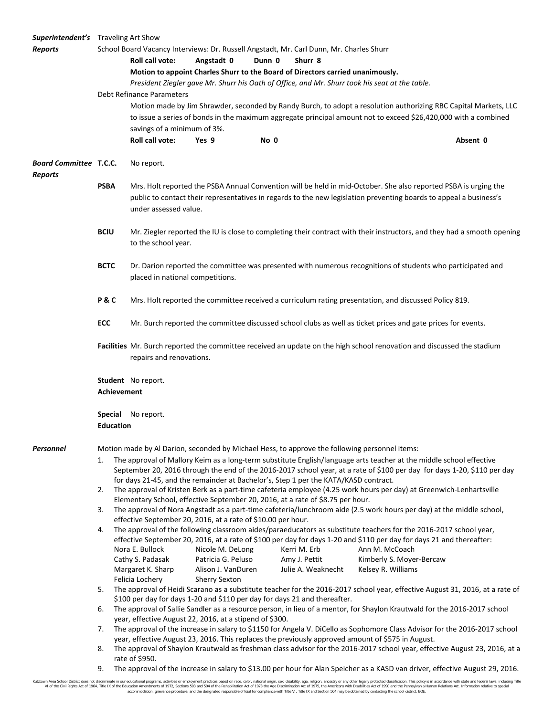| <b>Superintendent's</b> Traveling Art Show      |                                                                                                                                                                                                                                                                                                                                                                                                                                               |                                                                                                                                                                                                                                                                |                                                                                                                 |      |                                                                                         |                    |                                                                                                                                                                                                                                           |  |  |
|-------------------------------------------------|-----------------------------------------------------------------------------------------------------------------------------------------------------------------------------------------------------------------------------------------------------------------------------------------------------------------------------------------------------------------------------------------------------------------------------------------------|----------------------------------------------------------------------------------------------------------------------------------------------------------------------------------------------------------------------------------------------------------------|-----------------------------------------------------------------------------------------------------------------|------|-----------------------------------------------------------------------------------------|--------------------|-------------------------------------------------------------------------------------------------------------------------------------------------------------------------------------------------------------------------------------------|--|--|
| <b>Reports</b>                                  |                                                                                                                                                                                                                                                                                                                                                                                                                                               |                                                                                                                                                                                                                                                                |                                                                                                                 |      | School Board Vacancy Interviews: Dr. Russell Angstadt, Mr. Carl Dunn, Mr. Charles Shurr |                    |                                                                                                                                                                                                                                           |  |  |
|                                                 | Roll call vote:<br>Angstadt 0<br>Dunn 0<br>Shurr 8                                                                                                                                                                                                                                                                                                                                                                                            |                                                                                                                                                                                                                                                                |                                                                                                                 |      |                                                                                         |                    |                                                                                                                                                                                                                                           |  |  |
|                                                 | Motion to appoint Charles Shurr to the Board of Directors carried unanimously.                                                                                                                                                                                                                                                                                                                                                                |                                                                                                                                                                                                                                                                |                                                                                                                 |      |                                                                                         |                    |                                                                                                                                                                                                                                           |  |  |
|                                                 | President Ziegler gave Mr. Shurr his Oath of Office, and Mr. Shurr took his seat at the table.                                                                                                                                                                                                                                                                                                                                                |                                                                                                                                                                                                                                                                |                                                                                                                 |      |                                                                                         |                    |                                                                                                                                                                                                                                           |  |  |
|                                                 | Debt Refinance Parameters                                                                                                                                                                                                                                                                                                                                                                                                                     |                                                                                                                                                                                                                                                                |                                                                                                                 |      |                                                                                         |                    |                                                                                                                                                                                                                                           |  |  |
|                                                 |                                                                                                                                                                                                                                                                                                                                                                                                                                               |                                                                                                                                                                                                                                                                |                                                                                                                 |      |                                                                                         |                    | Motion made by Jim Shrawder, seconded by Randy Burch, to adopt a resolution authorizing RBC Capital Markets, LLC                                                                                                                          |  |  |
|                                                 |                                                                                                                                                                                                                                                                                                                                                                                                                                               |                                                                                                                                                                                                                                                                | to issue a series of bonds in the maximum aggregate principal amount not to exceed \$26,420,000 with a combined |      |                                                                                         |                    |                                                                                                                                                                                                                                           |  |  |
|                                                 |                                                                                                                                                                                                                                                                                                                                                                                                                                               | savings of a minimum of 3%.                                                                                                                                                                                                                                    |                                                                                                                 |      |                                                                                         |                    |                                                                                                                                                                                                                                           |  |  |
|                                                 |                                                                                                                                                                                                                                                                                                                                                                                                                                               | <b>Roll call vote:</b>                                                                                                                                                                                                                                         | Yes 9                                                                                                           | No 0 |                                                                                         |                    | Absent 0                                                                                                                                                                                                                                  |  |  |
|                                                 |                                                                                                                                                                                                                                                                                                                                                                                                                                               |                                                                                                                                                                                                                                                                |                                                                                                                 |      |                                                                                         |                    |                                                                                                                                                                                                                                           |  |  |
| <b>Board Committee T.C.C.</b><br><b>Reports</b> |                                                                                                                                                                                                                                                                                                                                                                                                                                               | No report.                                                                                                                                                                                                                                                     |                                                                                                                 |      |                                                                                         |                    |                                                                                                                                                                                                                                           |  |  |
|                                                 | PSBA                                                                                                                                                                                                                                                                                                                                                                                                                                          | Mrs. Holt reported the PSBA Annual Convention will be held in mid-October. She also reported PSBA is urging the<br>public to contact their representatives in regards to the new legislation preventing boards to appeal a business's<br>under assessed value. |                                                                                                                 |      |                                                                                         |                    |                                                                                                                                                                                                                                           |  |  |
|                                                 | <b>BCIU</b>                                                                                                                                                                                                                                                                                                                                                                                                                                   | Mr. Ziegler reported the IU is close to completing their contract with their instructors, and they had a smooth opening<br>to the school year.                                                                                                                 |                                                                                                                 |      |                                                                                         |                    |                                                                                                                                                                                                                                           |  |  |
|                                                 | <b>BCTC</b>                                                                                                                                                                                                                                                                                                                                                                                                                                   | Dr. Darion reported the committee was presented with numerous recognitions of students who participated and<br>placed in national competitions.                                                                                                                |                                                                                                                 |      |                                                                                         |                    |                                                                                                                                                                                                                                           |  |  |
|                                                 | <b>P&amp;C</b>                                                                                                                                                                                                                                                                                                                                                                                                                                |                                                                                                                                                                                                                                                                |                                                                                                                 |      |                                                                                         |                    | Mrs. Holt reported the committee received a curriculum rating presentation, and discussed Policy 819.                                                                                                                                     |  |  |
|                                                 | <b>ECC</b>                                                                                                                                                                                                                                                                                                                                                                                                                                    |                                                                                                                                                                                                                                                                |                                                                                                                 |      |                                                                                         |                    | Mr. Burch reported the committee discussed school clubs as well as ticket prices and gate prices for events.                                                                                                                              |  |  |
|                                                 |                                                                                                                                                                                                                                                                                                                                                                                                                                               | repairs and renovations.                                                                                                                                                                                                                                       |                                                                                                                 |      |                                                                                         |                    | Facilities Mr. Burch reported the committee received an update on the high school renovation and discussed the stadium                                                                                                                    |  |  |
|                                                 | Achievement                                                                                                                                                                                                                                                                                                                                                                                                                                   | Student No report.                                                                                                                                                                                                                                             |                                                                                                                 |      |                                                                                         |                    |                                                                                                                                                                                                                                           |  |  |
|                                                 | <b>Special</b><br>No report.<br><b>Education</b>                                                                                                                                                                                                                                                                                                                                                                                              |                                                                                                                                                                                                                                                                |                                                                                                                 |      |                                                                                         |                    |                                                                                                                                                                                                                                           |  |  |
| Personnel                                       |                                                                                                                                                                                                                                                                                                                                                                                                                                               |                                                                                                                                                                                                                                                                |                                                                                                                 |      |                                                                                         |                    |                                                                                                                                                                                                                                           |  |  |
|                                                 | Motion made by Al Darion, seconded by Michael Hess, to approve the following personnel items:<br>The approval of Mallory Keim as a long-term substitute English/language arts teacher at the middle school effective<br>1.<br>September 20, 2016 through the end of the 2016-2017 school year, at a rate of \$100 per day for days 1-20, \$110 per day<br>for days 21-45, and the remainder at Bachelor's, Step 1 per the KATA/KASD contract. |                                                                                                                                                                                                                                                                |                                                                                                                 |      |                                                                                         |                    |                                                                                                                                                                                                                                           |  |  |
|                                                 | The approval of Kristen Berk as a part-time cafeteria employee (4.25 work hours per day) at Greenwich-Lenhartsville<br>2.<br>Elementary School, effective September 20, 2016, at a rate of \$8.75 per hour.                                                                                                                                                                                                                                   |                                                                                                                                                                                                                                                                |                                                                                                                 |      |                                                                                         |                    |                                                                                                                                                                                                                                           |  |  |
|                                                 | 3.                                                                                                                                                                                                                                                                                                                                                                                                                                            | The approval of Nora Angstadt as a part-time cafeteria/lunchroom aide (2.5 work hours per day) at the middle school,<br>effective September 20, 2016, at a rate of \$10.00 per hour.                                                                           |                                                                                                                 |      |                                                                                         |                    |                                                                                                                                                                                                                                           |  |  |
|                                                 | 4.                                                                                                                                                                                                                                                                                                                                                                                                                                            | Nora E. Bullock                                                                                                                                                                                                                                                | Nicole M. DeLong                                                                                                |      | Kerri M. Erb                                                                            | Ann M. McCoach     | The approval of the following classroom aides/paraeducators as substitute teachers for the 2016-2017 school year,<br>effective September 20, 2016, at a rate of \$100 per day for days 1-20 and \$110 per day for days 21 and thereafter: |  |  |
|                                                 |                                                                                                                                                                                                                                                                                                                                                                                                                                               | Cathy S. Padasak                                                                                                                                                                                                                                               | Patricia G. Peluso                                                                                              |      | Amy J. Pettit                                                                           |                    | Kimberly S. Moyer-Bercaw                                                                                                                                                                                                                  |  |  |
|                                                 |                                                                                                                                                                                                                                                                                                                                                                                                                                               | Margaret K. Sharp                                                                                                                                                                                                                                              | Alison J. VanDuren                                                                                              |      | Julie A. Weaknecht                                                                      | Kelsey R. Williams |                                                                                                                                                                                                                                           |  |  |
|                                                 |                                                                                                                                                                                                                                                                                                                                                                                                                                               | Felicia Lochery                                                                                                                                                                                                                                                | <b>Sherry Sexton</b>                                                                                            |      |                                                                                         |                    |                                                                                                                                                                                                                                           |  |  |
|                                                 | 5.                                                                                                                                                                                                                                                                                                                                                                                                                                            | The approval of Heidi Scarano as a substitute teacher for the 2016-2017 school year, effective August 31, 2016, at a rate of                                                                                                                                   |                                                                                                                 |      |                                                                                         |                    |                                                                                                                                                                                                                                           |  |  |
|                                                 | 6.                                                                                                                                                                                                                                                                                                                                                                                                                                            | \$100 per day for days 1-20 and \$110 per day for days 21 and thereafter.<br>The approval of Sallie Sandler as a resource person, in lieu of a mentor, for Shaylon Krautwald for the 2016-2017 school                                                          |                                                                                                                 |      |                                                                                         |                    |                                                                                                                                                                                                                                           |  |  |
|                                                 |                                                                                                                                                                                                                                                                                                                                                                                                                                               | year, effective August 22, 2016, at a stipend of \$300.                                                                                                                                                                                                        |                                                                                                                 |      |                                                                                         |                    |                                                                                                                                                                                                                                           |  |  |
|                                                 | 7.                                                                                                                                                                                                                                                                                                                                                                                                                                            | The approval of the increase in salary to \$1150 for Angela V. DiCello as Sophomore Class Advisor for the 2016-2017 school                                                                                                                                     |                                                                                                                 |      |                                                                                         |                    |                                                                                                                                                                                                                                           |  |  |
|                                                 | year, effective August 23, 2016. This replaces the previously approved amount of \$575 in August.<br>The approval of Shaylon Krautwald as freshman class advisor for the 2016-2017 school year, effective August 23, 2016, at a<br>8.<br>rate of \$950.                                                                                                                                                                                       |                                                                                                                                                                                                                                                                |                                                                                                                 |      |                                                                                         |                    |                                                                                                                                                                                                                                           |  |  |
|                                                 |                                                                                                                                                                                                                                                                                                                                                                                                                                               |                                                                                                                                                                                                                                                                |                                                                                                                 |      |                                                                                         |                    |                                                                                                                                                                                                                                           |  |  |

9. The approval of the increase in salary to \$13.00 per hour for Alan Speicher as a KASD van driver, effective August 29, 2016.

Kutztown Area School District does not discriminate in our educational programs, activities or employment practices based on race, color, national origin, sex, disability, age, religion, ancestry or any other legally prot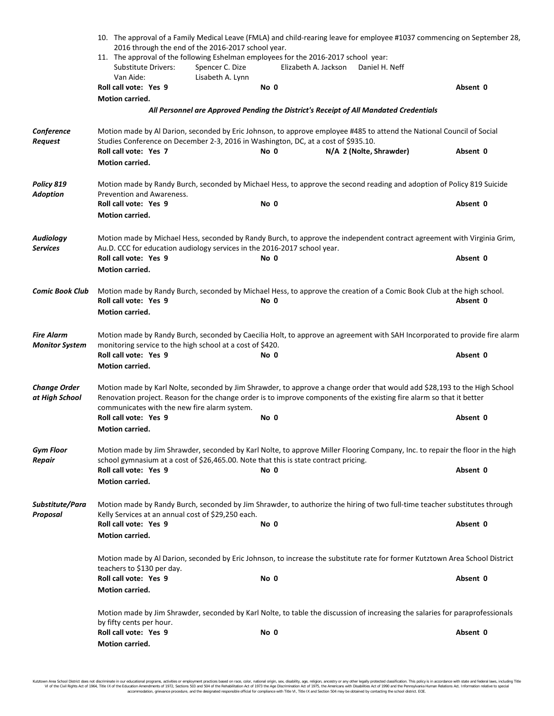|                                       | 10. The approval of a Family Medical Leave (FMLA) and child-rearing leave for employee #1037 commencing on September 28,<br>2016 through the end of the 2016-2017 school year.<br>11. The approval of the following Eshelman employees for the 2016-2017 school year: |                  |                      |                                                                                                                               |          |  |  |  |  |
|---------------------------------------|-----------------------------------------------------------------------------------------------------------------------------------------------------------------------------------------------------------------------------------------------------------------------|------------------|----------------------|-------------------------------------------------------------------------------------------------------------------------------|----------|--|--|--|--|
|                                       |                                                                                                                                                                                                                                                                       |                  |                      |                                                                                                                               |          |  |  |  |  |
|                                       | <b>Substitute Drivers:</b>                                                                                                                                                                                                                                            | Spencer C. Dize  | Elizabeth A. Jackson | Daniel H. Neff                                                                                                                |          |  |  |  |  |
|                                       | Van Aide:                                                                                                                                                                                                                                                             | Lisabeth A. Lynn |                      |                                                                                                                               |          |  |  |  |  |
|                                       | Roll call vote: Yes 9                                                                                                                                                                                                                                                 |                  | No 0                 |                                                                                                                               | Absent 0 |  |  |  |  |
|                                       | <b>Motion carried.</b>                                                                                                                                                                                                                                                |                  |                      |                                                                                                                               |          |  |  |  |  |
|                                       |                                                                                                                                                                                                                                                                       |                  |                      | All Personnel are Approved Pending the District's Receipt of All Mandated Credentials                                         |          |  |  |  |  |
| Conference<br><b>Request</b>          | Motion made by Al Darion, seconded by Eric Johnson, to approve employee #485 to attend the National Council of Social<br>Studies Conference on December 2-3, 2016 in Washington, DC, at a cost of \$935.10.                                                           |                  |                      |                                                                                                                               |          |  |  |  |  |
|                                       | Roll call vote: Yes 7                                                                                                                                                                                                                                                 |                  | No 0                 | N/A 2 (Nolte, Shrawder)                                                                                                       | Absent 0 |  |  |  |  |
|                                       | Motion carried.                                                                                                                                                                                                                                                       |                  |                      |                                                                                                                               |          |  |  |  |  |
| Policy 819<br><b>Adoption</b>         | Prevention and Awareness.                                                                                                                                                                                                                                             |                  |                      | Motion made by Randy Burch, seconded by Michael Hess, to approve the second reading and adoption of Policy 819 Suicide        |          |  |  |  |  |
|                                       | Roll call vote: Yes 9                                                                                                                                                                                                                                                 |                  | No 0                 |                                                                                                                               | Absent 0 |  |  |  |  |
|                                       | <b>Motion carried.</b>                                                                                                                                                                                                                                                |                  |                      |                                                                                                                               |          |  |  |  |  |
| <b>Audiology</b><br><b>Services</b>   | Motion made by Michael Hess, seconded by Randy Burch, to approve the independent contract agreement with Virginia Grim,<br>Au.D. CCC for education audiology services in the 2016-2017 school year.                                                                   |                  |                      |                                                                                                                               |          |  |  |  |  |
|                                       | Roll call vote: Yes 9<br><b>Motion carried.</b>                                                                                                                                                                                                                       |                  | No 0                 |                                                                                                                               | Absent 0 |  |  |  |  |
| <b>Comic Book Club</b>                |                                                                                                                                                                                                                                                                       |                  |                      | Motion made by Randy Burch, seconded by Michael Hess, to approve the creation of a Comic Book Club at the high school.        |          |  |  |  |  |
|                                       | Roll call vote: Yes 9                                                                                                                                                                                                                                                 |                  | No 0                 |                                                                                                                               | Absent 0 |  |  |  |  |
|                                       | Motion carried.                                                                                                                                                                                                                                                       |                  |                      |                                                                                                                               |          |  |  |  |  |
| <b>Fire Alarm</b>                     |                                                                                                                                                                                                                                                                       |                  |                      | Motion made by Randy Burch, seconded by Caecilia Holt, to approve an agreement with SAH Incorporated to provide fire alarm    |          |  |  |  |  |
| <b>Monitor System</b>                 | monitoring service to the high school at a cost of \$420.                                                                                                                                                                                                             |                  |                      |                                                                                                                               |          |  |  |  |  |
|                                       | Roll call vote: Yes 9                                                                                                                                                                                                                                                 |                  | No 0                 |                                                                                                                               | Absent 0 |  |  |  |  |
|                                       | <b>Motion carried.</b>                                                                                                                                                                                                                                                |                  |                      |                                                                                                                               |          |  |  |  |  |
| <b>Change Order</b><br>at High School | Motion made by Karl Nolte, seconded by Jim Shrawder, to approve a change order that would add \$28,193 to the High School<br>Renovation project. Reason for the change order is to improve components of the existing fire alarm so that it better                    |                  |                      |                                                                                                                               |          |  |  |  |  |
|                                       | communicates with the new fire alarm system.<br>Roll call vote: Yes 9                                                                                                                                                                                                 |                  | No 0                 |                                                                                                                               | Absent 0 |  |  |  |  |
|                                       | <b>Motion carried.</b>                                                                                                                                                                                                                                                |                  |                      |                                                                                                                               |          |  |  |  |  |
| <b>Gym Floor</b>                      |                                                                                                                                                                                                                                                                       |                  |                      |                                                                                                                               |          |  |  |  |  |
| Repair                                | school gymnasium at a cost of \$26,465.00. Note that this is state contract pricing.                                                                                                                                                                                  |                  |                      | Motion made by Jim Shrawder, seconded by Karl Nolte, to approve Miller Flooring Company, Inc. to repair the floor in the high |          |  |  |  |  |
|                                       | Roll call vote: Yes 9                                                                                                                                                                                                                                                 |                  | No 0                 |                                                                                                                               | Absent 0 |  |  |  |  |
|                                       | <b>Motion carried.</b>                                                                                                                                                                                                                                                |                  |                      |                                                                                                                               |          |  |  |  |  |
| Substitute/Para<br>Proposal           | Motion made by Randy Burch, seconded by Jim Shrawder, to authorize the hiring of two full-time teacher substitutes through<br>Kelly Services at an annual cost of \$29,250 each.                                                                                      |                  |                      |                                                                                                                               |          |  |  |  |  |
|                                       | Roll call vote: Yes 9                                                                                                                                                                                                                                                 |                  | No 0                 |                                                                                                                               | Absent 0 |  |  |  |  |
|                                       | <b>Motion carried.</b>                                                                                                                                                                                                                                                |                  |                      |                                                                                                                               |          |  |  |  |  |
|                                       | Motion made by Al Darion, seconded by Eric Johnson, to increase the substitute rate for former Kutztown Area School District<br>teachers to \$130 per day.                                                                                                            |                  |                      |                                                                                                                               |          |  |  |  |  |
|                                       | Roll call vote: Yes 9                                                                                                                                                                                                                                                 |                  | No 0                 |                                                                                                                               | Absent 0 |  |  |  |  |
|                                       | <b>Motion carried.</b>                                                                                                                                                                                                                                                |                  |                      |                                                                                                                               |          |  |  |  |  |
|                                       |                                                                                                                                                                                                                                                                       |                  |                      | Motion made by Jim Shrawder, seconded by Karl Nolte, to table the discussion of increasing the salaries for paraprofessionals |          |  |  |  |  |
|                                       | by fifty cents per hour.                                                                                                                                                                                                                                              |                  |                      |                                                                                                                               |          |  |  |  |  |
|                                       | Roll call vote: Yes 9<br>Motion carried.                                                                                                                                                                                                                              |                  | No 0                 |                                                                                                                               | Absent 0 |  |  |  |  |